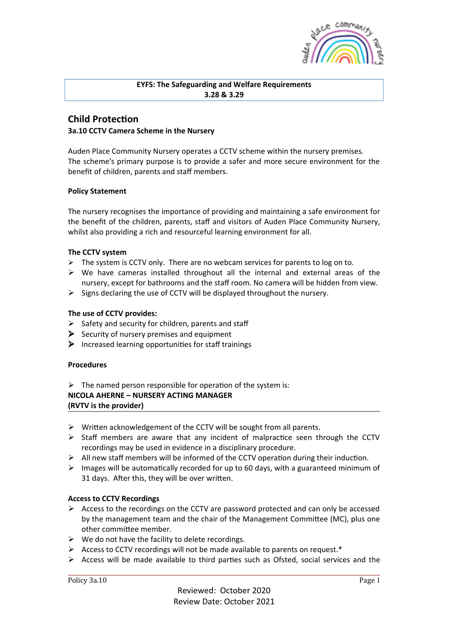

## **EYFS: The Safeguarding and Welfare Requirements 3.28 & 3.29**

## **Child Protection 3a.10 CCTV Camera Scheme in the Nursery**

Auden Place Community Nursery operates a CCTV scheme within the nursery premises. The scheme's primary purpose is to provide a safer and more secure environment for the benefit of children, parents and staff members.

## **Policy Statement**

The nursery recognises the importance of providing and maintaining a safe environment for the benefit of the children, parents, staff and visitors of Auden Place Community Nursery, whilst also providing a rich and resourceful learning environment for all.

## **The CCTV system**

- $\triangleright$  The system is CCTV only. There are no webcam services for parents to log on to.
- $\triangleright$  We have cameras installed throughout all the internal and external areas of the nursery, except for bathrooms and the staff room. No camera will be hidden from view.
- $\triangleright$  Signs declaring the use of CCTV will be displayed throughout the nursery.

## **The use of CCTV provides:**

- $\triangleright$  Safety and security for children, parents and staff
- $\triangleright$  Security of nursery premises and equipment
- $\triangleright$  Increased learning opportunities for staff trainings

#### **Procedures**

 $\triangleright$  The named person responsible for operation of the system is: **NICOLA AHERNE – NURSERY ACTING MANAGER (RVTV is the provider)**

- $\triangleright$  Written acknowledgement of the CCTV will be sought from all parents.
- $\triangleright$  Staff members are aware that any incident of malpractice seen through the CCTV recordings may be used in evidence in a disciplinary procedure.
- $\triangleright$  All new staff members will be informed of the CCTV operation during their induction.
- $\triangleright$  Images will be automatically recorded for up to 60 days, with a guaranteed minimum of 31 days. After this, they will be over written.

#### **Access to CCTV Recordings**

- $\triangleright$  Access to the recordings on the CCTV are password protected and can only be accessed by the management team and the chair of the Management Committee (MC), plus one other committee member.
- $\triangleright$  We do not have the facility to delete recordings.
- $\triangleright$  Access to CCTV recordings will not be made available to parents on request.\*
- $\triangleright$  Access will be made available to third parties such as Ofsted, social services and the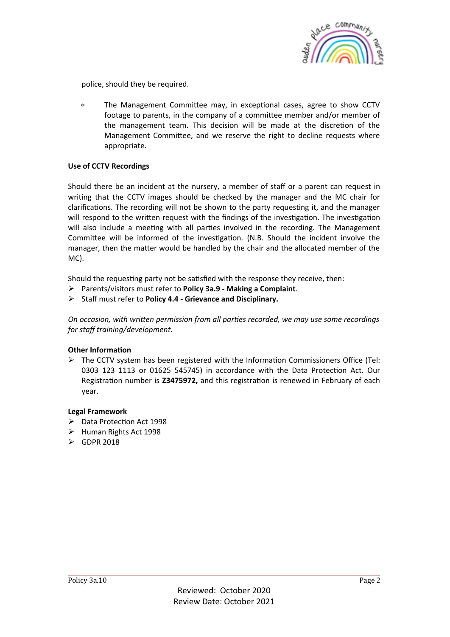

police, should they be required.

∗ The Management CommiIee may, in excepGonal cases, agree to show CCTV footage to parents, in the company of a committee member and/or member of the management team. This decision will be made at the discretion of the Management Committee, and we reserve the right to decline requests where appropriate.

## **Use of CCTV Recordings**

Should there be an incident at the nursery, a member of staff or a parent can request in writing that the CCTV images should be checked by the manager and the MC chair for clarifications. The recording will not be shown to the party requesting it, and the manager will respond to the written request with the findings of the investigation. The investigation will also include a meeting with all parties involved in the recording. The Management Committee will be informed of the investigation. (N.B. Should the incident involve the manager, then the matter would be handled by the chair and the allocated member of the MC).

Should the requesting party not be satisfied with the response they receive, then:

Ø Parents/visitors must refer to **Policy 3a.9 - Making a Complaint**.

Ø Staff must refer to **Policy 4.4 - Grievance and Disciplinary.**

*On occasion,* with written permission from all parties recorded, we may use some recordings *for staff training/development.* 

#### **Other Information**

 $\triangleright$  The CCTV system has been registered with the Information Commissioners Office (Tel: 0303 123 1113 or 01625 545745) in accordance with the Data Protection Act. Our Registration number is **Z3475972**, and this registration is renewed in February of each year.

#### **Legal Framework**

- $\triangleright$  Data Protection Act 1998
- $\triangleright$  Human Rights Act 1998
- $\triangleright$  GDPR 2018